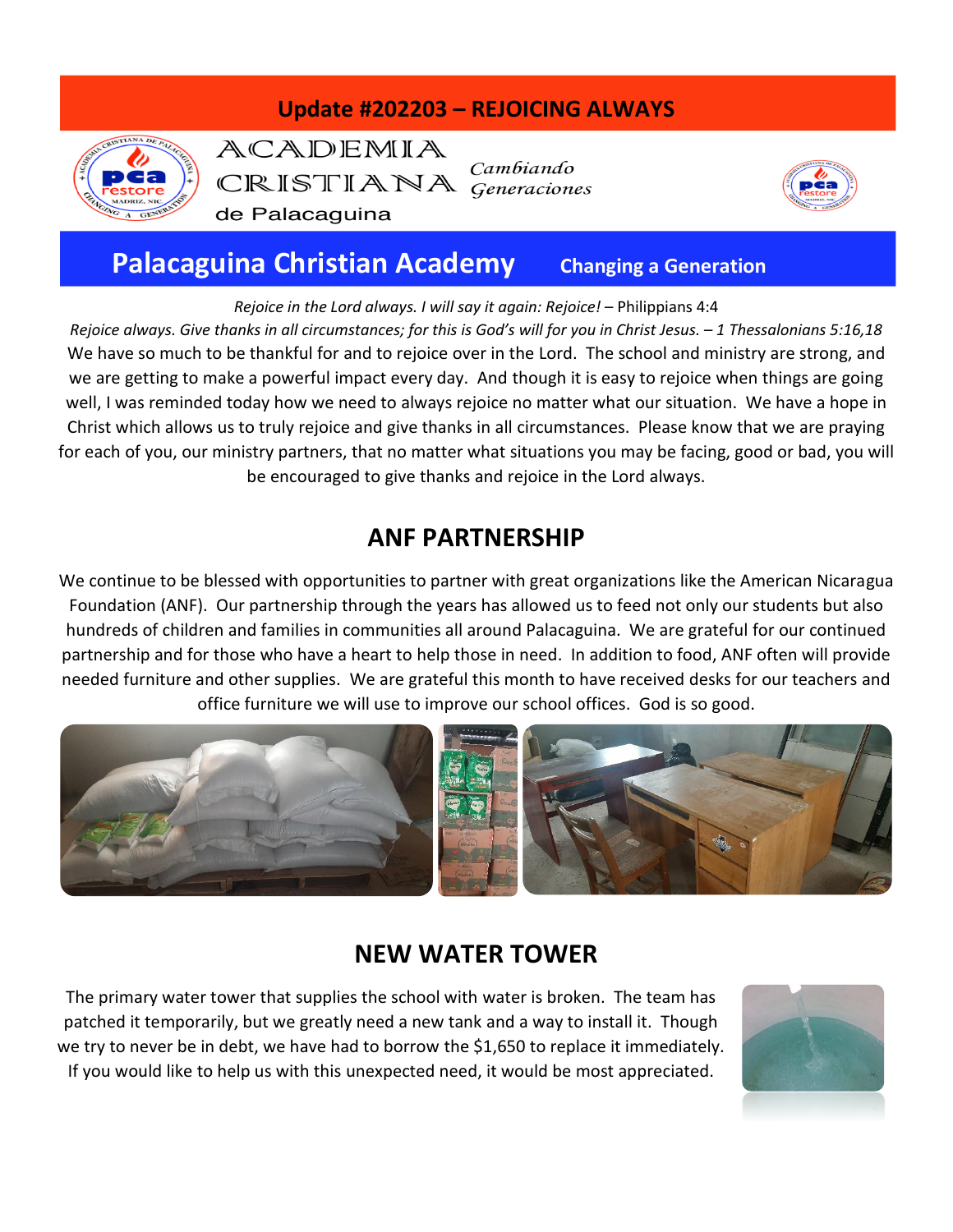### **Update #202203 – REJOICING ALWAYS**



ACADEMIA  $CRISTIIANA$  Generaciones de Palacaguina

Cambiando



## **Palacaguina Christian Academy Changing a Generation**

*Rejoice in the Lord always. I will say it again: Rejoice!* – Philippians 4:4

*Rejoice always. Give thanks in all circumstances; for this is God's will for you in Christ Jesus. – 1 Thessalonians 5:16,18* We have so much to be thankful for and to rejoice over in the Lord. The school and ministry are strong, and we are getting to make a powerful impact every day. And though it is easy to rejoice when things are going well, I was reminded today how we need to always rejoice no matter what our situation. We have a hope in Christ which allows us to truly rejoice and give thanks in all circumstances. Please know that we are praying for each of you, our ministry partners, that no matter what situations you may be facing, good or bad, you will be encouraged to give thanks and rejoice in the Lord always.

## **ANF PARTNERSHIP**

We continue to be blessed with opportunities to partner with great organizations like the American Nicaragua Foundation (ANF). Our partnership through the years has allowed us to feed not only our students but also hundreds of children and families in communities all around Palacaguina. We are grateful for our continued partnership and for those who have a heart to help those in need. In addition to food, ANF often will provide needed furniture and other supplies. We are grateful this month to have received desks for our teachers and office furniture we will use to improve our school offices. God is so good.



### **NEW WATER TOWER**

The primary water tower that supplies the school with water is broken. The team has patched it temporarily, but we greatly need a new tank and a way to install it. Though we try to never be in debt, we have had to borrow the \$1,650 to replace it immediately. If you would like to help us with this unexpected need, it would be most appreciated.

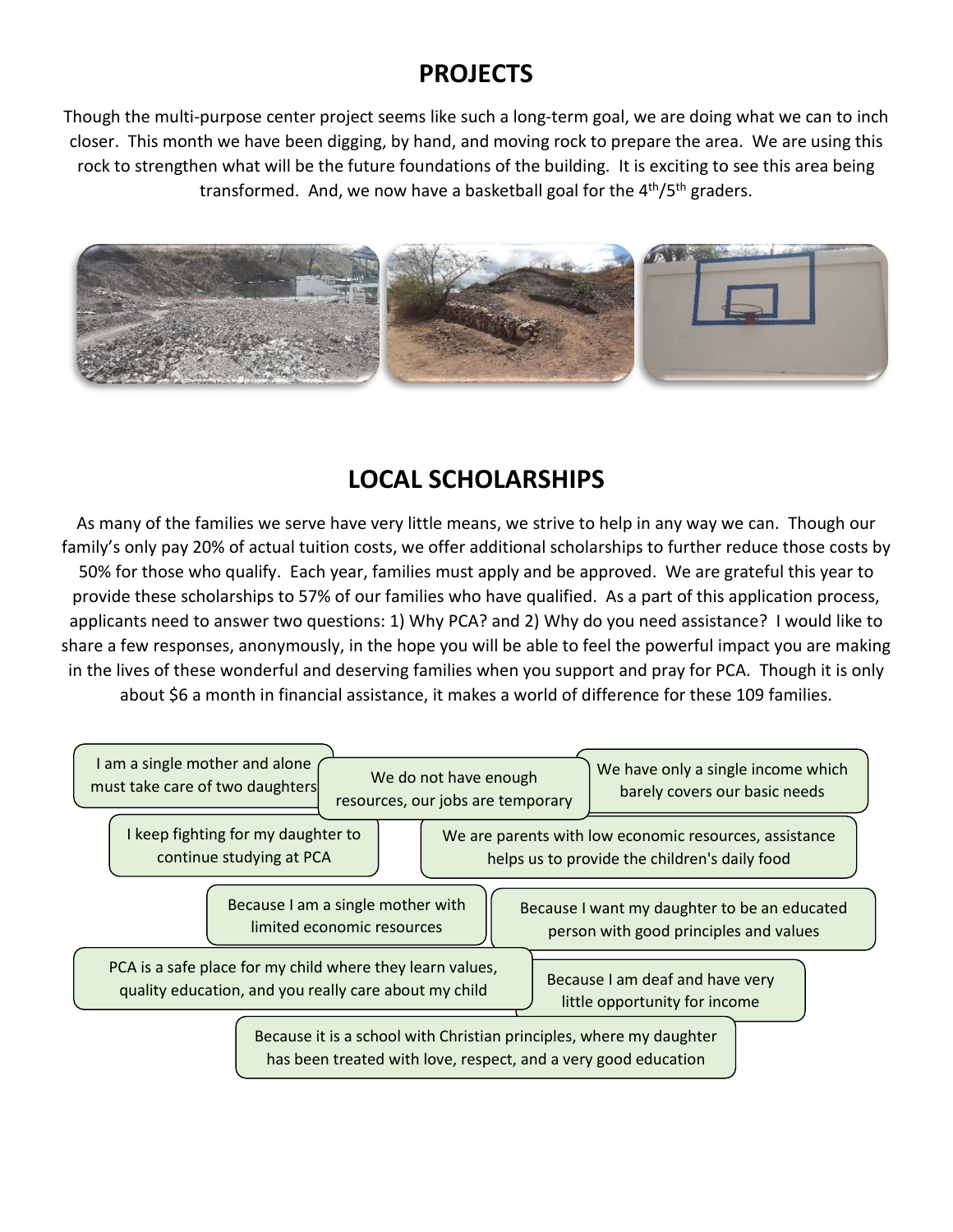## **PROJECTS**

Though the multi-purpose center project seems like such a long-term goal, we are doing what we can to inch closer. This month we have been digging, by hand, and moving rock to prepare the area. We are using this rock to strengthen what will be the future foundations of the building. It is exciting to see this area being transformed. And, we now have a basketball goal for the 4<sup>th</sup>/5<sup>th</sup> graders.



# **LOCAL SCHOLARSHIPS**

As many of the families we serve have very little means, we strive to help in any way we can. Though our family's only pay 20% of actual tuition costs, we offer additional scholarships to further reduce those costs by 50% for those who qualify. Each year, families must apply and be approved. We are grateful this year to provide these scholarships to 57% of our families who have qualified. As a part of this application process, applicants need to answer two questions: 1) Why PCA? and 2) Why do you need assistance? I would like to share a few responses, anonymously, in the hope you will be able to feel the powerful impact you are making in the lives of these wonderful and deserving families when you support and pray for PCA. Though it is only about \$6 a month in financial assistance, it makes a world of difference for these 109 families.

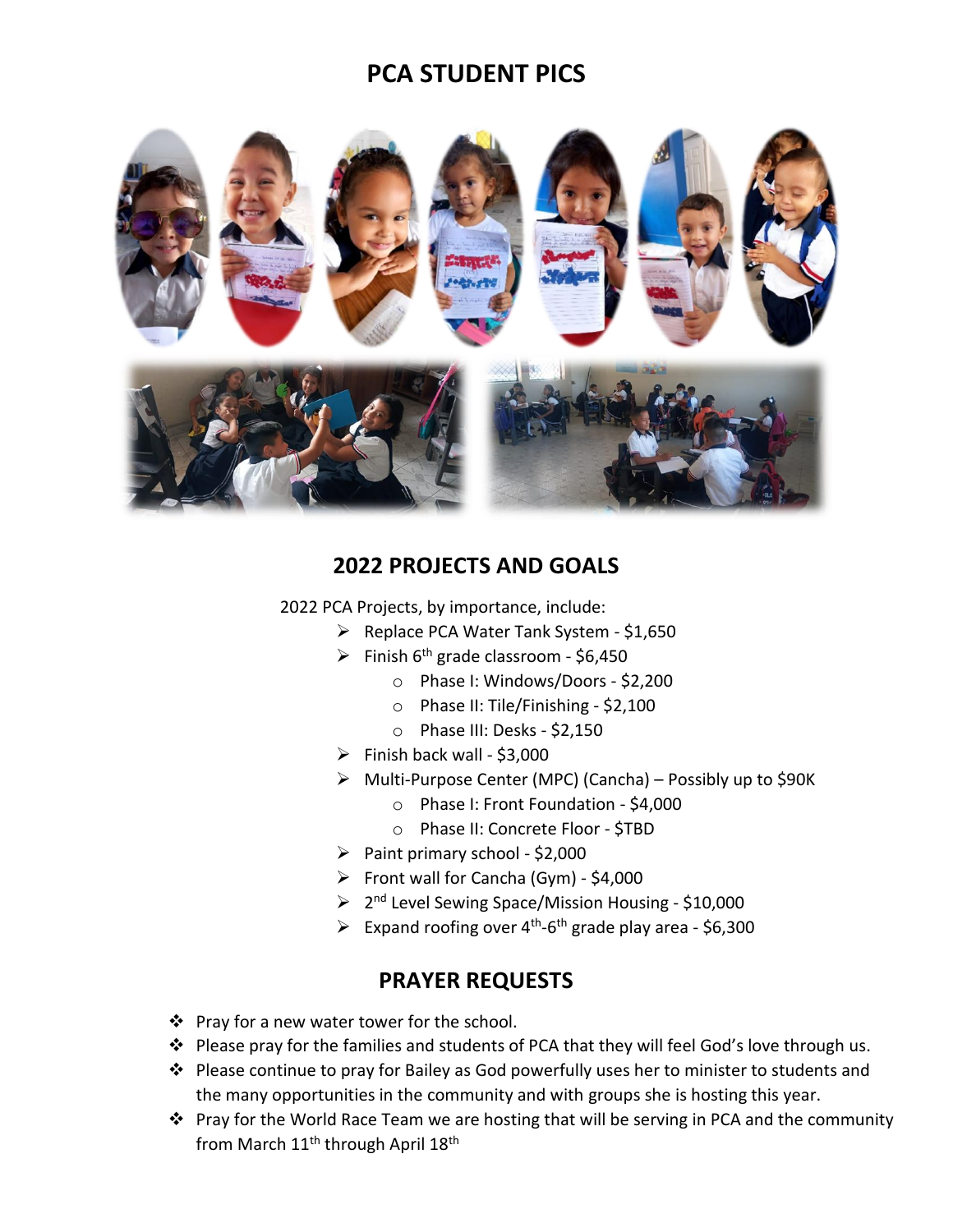### **PCA STUDENT PICS**



#### **2022 PROJECTS AND GOALS**

2022 PCA Projects, by importance, include:

- ➢ Replace PCA Water Tank System \$1,650
- $\triangleright$  Finish 6<sup>th</sup> grade classroom \$6,450
	- o Phase I: Windows/Doors \$2,200
	- o Phase II: Tile/Finishing \$2,100
	- o Phase III: Desks \$2,150
- $\triangleright$  Finish back wall \$3,000
- ➢ Multi-Purpose Center (MPC) (Cancha) Possibly up to \$90K
	- o Phase I: Front Foundation \$4,000
	- o Phase II: Concrete Floor \$TBD
- $\triangleright$  Paint primary school \$2,000
- ➢ Front wall for Cancha (Gym) \$4,000
- ➢ 2 nd Level Sewing Space/Mission Housing \$10,000
- $\triangleright$  Expand roofing over 4<sup>th</sup>-6<sup>th</sup> grade play area \$6,300

#### **PRAYER REQUESTS**

- ❖ Pray for a new water tower for the school.
- ❖ Please pray for the families and students of PCA that they will feel God's love through us.
- ❖ Please continue to pray for Bailey as God powerfully uses her to minister to students and the many opportunities in the community and with groups she is hosting this year.
- ❖ Pray for the World Race Team we are hosting that will be serving in PCA and the community from March 11<sup>th</sup> through April 18<sup>th</sup>